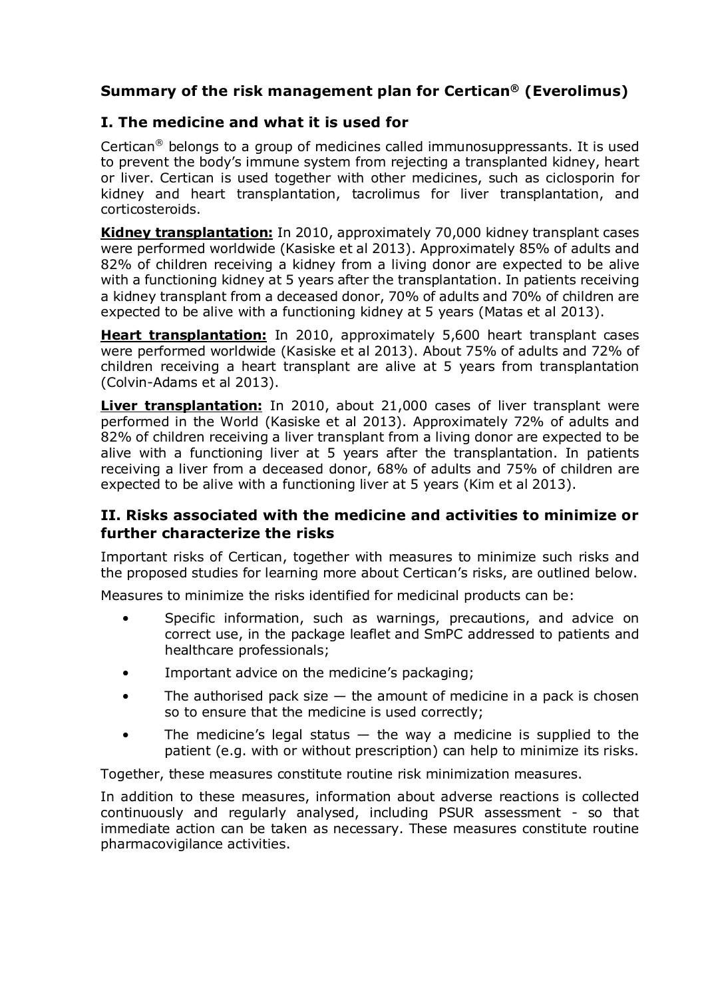# **Summary of the risk management plan for Certican® (Everolimus)**

## **I. The medicine and what it is used for**

Certican<sup>®</sup> belongs to a group of medicines called immunosuppressants. It is used to prevent the body's immune system from rejecting a transplanted kidney, heart or liver. Certican is used together with other medicines, such as ciclosporin for kidney and heart transplantation, tacrolimus for liver transplantation, and corticosteroids.

**Kidney transplantation:** In 2010, approximately 70,000 kidney transplant cases were performed worldwide (Kasiske et al 2013). Approximately 85% of adults and 82% of children receiving a kidney from a living donor are expected to be alive with a functioning kidney at 5 years after the transplantation. In patients receiving a kidney transplant from a deceased donor, 70% of adults and 70% of children are expected to be alive with a functioning kidney at 5 years (Matas et al 2013).

**Heart transplantation:** In 2010, approximately 5,600 heart transplant cases were performed worldwide (Kasiske et al 2013). About 75% of adults and 72% of children receiving a heart transplant are alive at 5 years from transplantation (Colvin-Adams et al 2013).

**Liver transplantation:** In 2010, about 21,000 cases of liver transplant were performed in the World (Kasiske et al 2013). Approximately 72% of adults and 82% of children receiving a liver transplant from a living donor are expected to be alive with a functioning liver at 5 years after the transplantation. In patients receiving a liver from a deceased donor, 68% of adults and 75% of children are expected to be alive with a functioning liver at 5 years (Kim et al 2013).

### **II. Risks associated with the medicine and activities to minimize or further characterize the risks**

Important risks of Certican, together with measures to minimize such risks and the proposed studies for learning more about Certican's risks, are outlined below.

Measures to minimize the risks identified for medicinal products can be:

- Specific information, such as warnings, precautions, and advice on correct use, in the package leaflet and SmPC addressed to patients and healthcare professionals;
- Important advice on the medicine's packaging;
- The authorised pack size  $-$  the amount of medicine in a pack is chosen so to ensure that the medicine is used correctly;
- The medicine's legal status  $-$  the way a medicine is supplied to the patient (e.g. with or without prescription) can help to minimize its risks.

Together, these measures constitute routine risk minimization measures.

In addition to these measures, information about adverse reactions is collected continuously and regularly analysed, including PSUR assessment - so that immediate action can be taken as necessary. These measures constitute routine pharmacovigilance activities.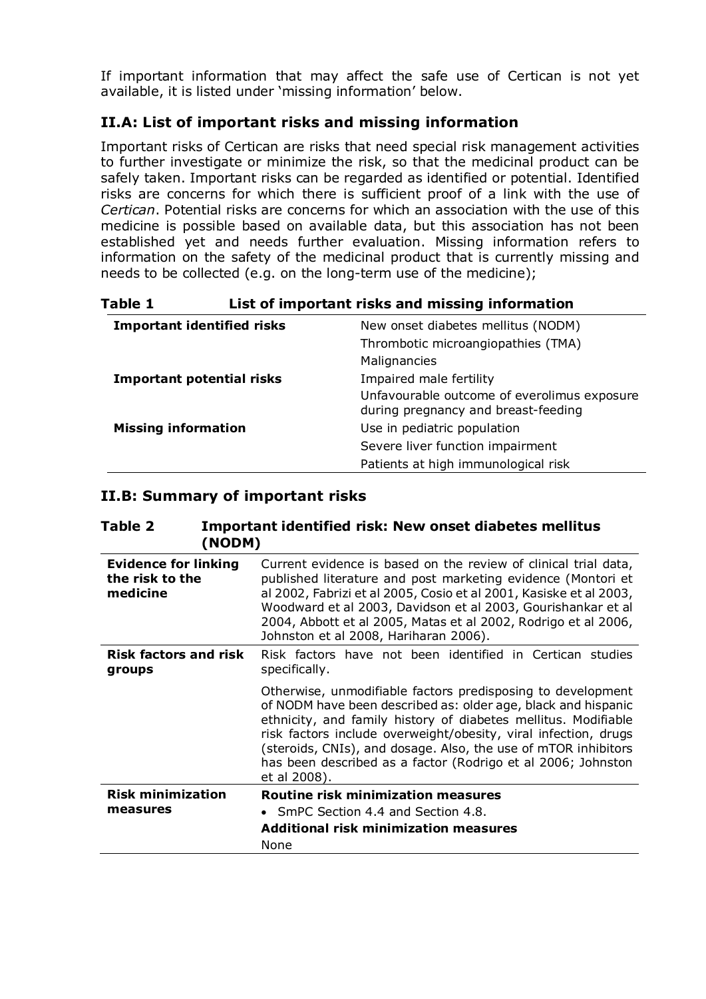If important information that may affect the safe use of Certican is not yet available, it is listed under 'missing information' below.

## **II.A: List of important risks and missing information**

Important risks of Certican are risks that need special risk management activities to further investigate or minimize the risk, so that the medicinal product can be safely taken. Important risks can be regarded as identified or potential. Identified risks are concerns for which there is sufficient proof of a link with the use of *Certican*. Potential risks are concerns for which an association with the use of this medicine is possible based on available data, but this association has not been established yet and needs further evaluation. Missing information refers to information on the safety of the medicinal product that is currently missing and needs to be collected (e.g. on the long-term use of the medicine);

| Table 1 | List of important risks and missing information |
|---------|-------------------------------------------------|
|---------|-------------------------------------------------|

| <b>Important identified risks</b> | New onset diabetes mellitus (NODM)                                                 |
|-----------------------------------|------------------------------------------------------------------------------------|
|                                   | Thrombotic microangiopathies (TMA)                                                 |
|                                   | Malignancies                                                                       |
| <b>Important potential risks</b>  | Impaired male fertility                                                            |
|                                   | Unfavourable outcome of everolimus exposure<br>during pregnancy and breast-feeding |
| <b>Missing information</b>        | Use in pediatric population                                                        |
|                                   | Severe liver function impairment                                                   |
|                                   | Patients at high immunological risk                                                |

#### **II.B: Summary of important risks**

| Table 2<br>(NODM)                                          | <b>Important identified risk: New onset diabetes mellitus</b>                                                                                                                                                                                                                                                                                                                                                       |
|------------------------------------------------------------|---------------------------------------------------------------------------------------------------------------------------------------------------------------------------------------------------------------------------------------------------------------------------------------------------------------------------------------------------------------------------------------------------------------------|
| <b>Evidence for linking</b><br>the risk to the<br>medicine | Current evidence is based on the review of clinical trial data,<br>published literature and post marketing evidence (Montori et<br>al 2002, Fabrizi et al 2005, Cosio et al 2001, Kasiske et al 2003,<br>Woodward et al 2003, Davidson et al 2003, Gourishankar et al<br>2004, Abbott et al 2005, Matas et al 2002, Rodrigo et al 2006,<br>Johnston et al 2008, Hariharan 2006).                                    |
| <b>Risk factors and risk</b><br>groups                     | Risk factors have not been identified in Certican studies<br>specifically.                                                                                                                                                                                                                                                                                                                                          |
|                                                            | Otherwise, unmodifiable factors predisposing to development<br>of NODM have been described as: older age, black and hispanic<br>ethnicity, and family history of diabetes mellitus. Modifiable<br>risk factors include overweight/obesity, viral infection, drugs<br>(steroids, CNIs), and dosage. Also, the use of mTOR inhibitors<br>has been described as a factor (Rodrigo et al 2006; Johnston<br>et al 2008). |
| <b>Risk minimization</b>                                   | <b>Routine risk minimization measures</b>                                                                                                                                                                                                                                                                                                                                                                           |
| measures                                                   | SmPC Section 4.4 and Section 4.8.                                                                                                                                                                                                                                                                                                                                                                                   |
|                                                            | <b>Additional risk minimization measures</b><br>None                                                                                                                                                                                                                                                                                                                                                                |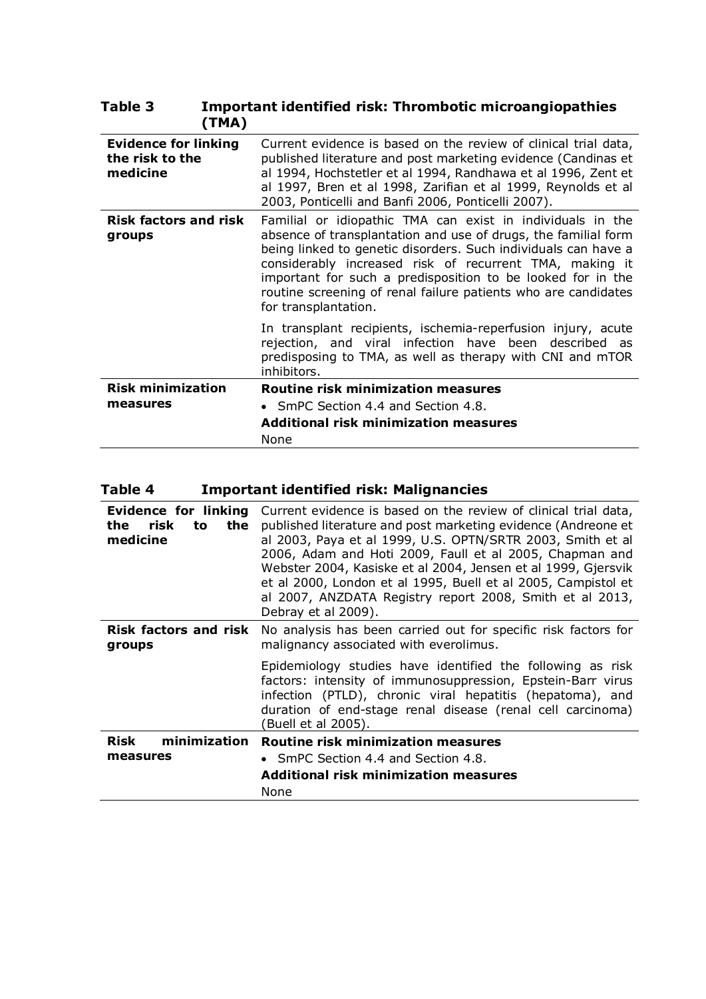| <b>Evidence for linking</b><br>the risk to the<br>medicine | Current evidence is based on the review of clinical trial data,<br>published literature and post marketing evidence (Candinas et<br>al 1994, Hochstetler et al 1994, Randhawa et al 1996, Zent et<br>al 1997, Bren et al 1998, Zarifian et al 1999, Reynolds et al<br>2003, Ponticelli and Banfi 2006, Ponticelli 2007).                                                                                           |
|------------------------------------------------------------|--------------------------------------------------------------------------------------------------------------------------------------------------------------------------------------------------------------------------------------------------------------------------------------------------------------------------------------------------------------------------------------------------------------------|
| <b>Risk factors and risk</b><br>groups                     | Familial or idiopathic TMA can exist in individuals in the<br>absence of transplantation and use of drugs, the familial form<br>being linked to genetic disorders. Such individuals can have a<br>considerably increased risk of recurrent TMA, making it<br>important for such a predisposition to be looked for in the<br>routine screening of renal failure patients who are candidates<br>for transplantation. |
|                                                            | In transplant recipients, ischemia-reperfusion injury, acute<br>rejection, and viral infection have been described as<br>predisposing to TMA, as well as therapy with CNI and mTOR<br>inhibitors.                                                                                                                                                                                                                  |
| <b>Risk minimization</b>                                   | Routine risk minimization measures                                                                                                                                                                                                                                                                                                                                                                                 |
| measures                                                   | • SmPC Section 4.4 and Section 4.8.                                                                                                                                                                                                                                                                                                                                                                                |
|                                                            | <b>Additional risk minimization measures</b>                                                                                                                                                                                                                                                                                                                                                                       |
|                                                            | None                                                                                                                                                                                                                                                                                                                                                                                                               |

#### **Table 3 Important identified risk: Thrombotic microangiopathies (TMA)**

# **Table 4 Important identified risk: Malignancies**

| <b>Evidence for linking</b><br>risk<br>to<br>the<br>the<br>medicine | Current evidence is based on the review of clinical trial data,<br>published literature and post marketing evidence (Andreone et<br>al 2003, Paya et al 1999, U.S. OPTN/SRTR 2003, Smith et al<br>2006, Adam and Hoti 2009, Faull et al 2005, Chapman and<br>Webster 2004, Kasiske et al 2004, Jensen et al 1999, Gjersvik<br>et al 2000, London et al 1995, Buell et al 2005, Campistol et<br>al 2007, ANZDATA Registry report 2008, Smith et al 2013,<br>Debray et al 2009). |
|---------------------------------------------------------------------|--------------------------------------------------------------------------------------------------------------------------------------------------------------------------------------------------------------------------------------------------------------------------------------------------------------------------------------------------------------------------------------------------------------------------------------------------------------------------------|
| <b>Risk factors and risk</b><br>groups                              | No analysis has been carried out for specific risk factors for<br>malignancy associated with everolimus.                                                                                                                                                                                                                                                                                                                                                                       |
|                                                                     | Epidemiology studies have identified the following as risk<br>factors: intensity of immunosuppression, Epstein-Barr virus<br>infection (PTLD), chronic viral hepatitis (hepatoma), and<br>duration of end-stage renal disease (renal cell carcinoma)<br>(Buell et al 2005).                                                                                                                                                                                                    |
| minimization<br>Risk<br>measures                                    | Routine risk minimization measures<br>• SmPC Section 4.4 and Section 4.8.                                                                                                                                                                                                                                                                                                                                                                                                      |
|                                                                     | <b>Additional risk minimization measures</b>                                                                                                                                                                                                                                                                                                                                                                                                                                   |
|                                                                     | None                                                                                                                                                                                                                                                                                                                                                                                                                                                                           |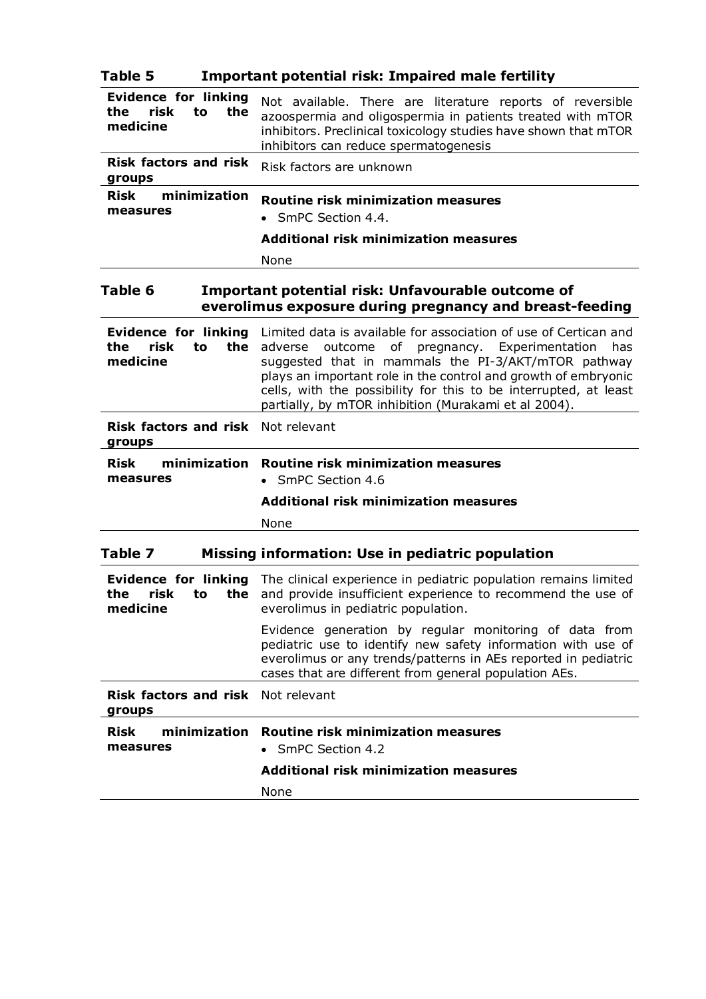| Table 5                                                             | <b>Important potential risk: Impaired male fertility</b>                                                                                                                                                                                                                                                                                                                      |
|---------------------------------------------------------------------|-------------------------------------------------------------------------------------------------------------------------------------------------------------------------------------------------------------------------------------------------------------------------------------------------------------------------------------------------------------------------------|
| <b>Evidence for linking</b><br>risk<br>the<br>to<br>the<br>medicine | Not available. There are literature reports of reversible<br>azoospermia and oligospermia in patients treated with mTOR<br>inhibitors. Preclinical toxicology studies have shown that mTOR<br>inhibitors can reduce spermatogenesis                                                                                                                                           |
| <b>Risk factors and risk</b><br>groups                              | Risk factors are unknown                                                                                                                                                                                                                                                                                                                                                      |
| minimization<br><b>Risk</b><br>measures                             | <b>Routine risk minimization measures</b><br>• SmPC Section 4.4.                                                                                                                                                                                                                                                                                                              |
|                                                                     | <b>Additional risk minimization measures</b>                                                                                                                                                                                                                                                                                                                                  |
|                                                                     | None                                                                                                                                                                                                                                                                                                                                                                          |
| Table 6                                                             | Important potential risk: Unfavourable outcome of<br>everolimus exposure during pregnancy and breast-feeding                                                                                                                                                                                                                                                                  |
| <b>Evidence for linking</b><br>risk<br>the<br>to<br>the<br>medicine | Limited data is available for association of use of Certican and<br>adverse outcome of pregnancy. Experimentation<br>has<br>suggested that in mammals the PI-3/AKT/mTOR pathway<br>plays an important role in the control and growth of embryonic<br>cells, with the possibility for this to be interrupted, at least<br>partially, by mTOR inhibition (Murakami et al 2004). |
| <b>Risk factors and risk</b> Not relevant<br>groups                 |                                                                                                                                                                                                                                                                                                                                                                               |
| minimization<br><b>Risk</b><br>measures                             | <b>Routine risk minimization measures</b><br>• SmPC Section 4.6                                                                                                                                                                                                                                                                                                               |
|                                                                     | <b>Additional risk minimization measures</b>                                                                                                                                                                                                                                                                                                                                  |
|                                                                     | None                                                                                                                                                                                                                                                                                                                                                                          |
| Table 7                                                             | Missing information: Use in pediatric population                                                                                                                                                                                                                                                                                                                              |
| the<br>medicine                                                     | <b>Evidence for linking</b> The clinical experience in pediatric population remains limited<br><b>risk</b> to the and provide insufficient experience to recommend the use of<br>everolimus in pediatric population.                                                                                                                                                          |
|                                                                     | Evidence generation by regular monitoring of data from<br>pediatric use to identify new safety information with use of<br>everolimus or any trends/patterns in AEs reported in pediatric<br>cases that are different from general population AEs.                                                                                                                             |
| <b>Risk factors and risk</b><br>groups                              | Not relevant                                                                                                                                                                                                                                                                                                                                                                  |
| minimization<br><b>Risk</b><br>measures                             | Routine risk minimization measures<br>SmPC Section 4.2                                                                                                                                                                                                                                                                                                                        |
|                                                                     | <b>Additional risk minimization measures</b>                                                                                                                                                                                                                                                                                                                                  |
|                                                                     | None                                                                                                                                                                                                                                                                                                                                                                          |
|                                                                     |                                                                                                                                                                                                                                                                                                                                                                               |